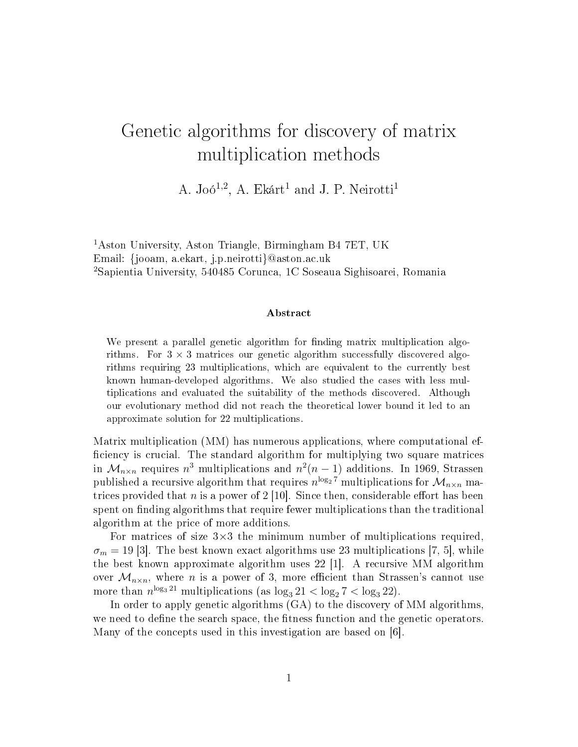# Genetic algorithms for discovery of matrix multiplication methods

A. Joó<sup>1,2</sup>, A. Ekárt<sup>1</sup> and J. P. Neirotti<sup>1</sup>

<sup>1</sup>Aston University, Aston Triangle, Birmingham B4 7ET, UK Email: {jooam, a.ekart, j.p.neirotti}@aston.ac.uk <sup>2</sup>Sapientia University, 540485 Corunca, 1C Soseaua Sighisoarei, Romania

#### Abstract

We present a parallel genetic algorithm for finding matrix multiplication algorithms. For  $3 \times 3$  matrices our genetic algorithm successfully discovered algorithms requiring 23 multiplications, which are equivalent to the currently best known human-developed algorithms. We also studied the cases with less multiplications and evaluated the suitability of the methods discovered. Although our evolutionary method did not reach the theoretical lower bound it led to an approximate solution for 22 multiplications.

Matrix multiplication (MM) has numerous applications, where computational ef ficiency is crucial. The standard algorithm for multiplying two square matrices in  $\mathcal{M}_{n\times n}$  requires  $n^3$  multiplications and  $n^2(n-1)$  additions. In 1969, Strassen published a recursive algorithm that requires  $n^{\log_2 7}$  multiplications for  $\mathcal{M}_{n \times n}$  matrices provided that n is a power of  $2 \vert 10 \vert$ . Since then, considerable effort has been spent on finding algorithms that require fewer multiplications than the traditional algorithm at the price of more additions.

For matrices of size  $3\times3$  the minimum number of multiplications required,  $\sigma_m = 19$  [3]. The best known exact algorithms use 23 multiplications [7, 5], while the best known approximate algorithm uses 22 [1]. A recursive MM algorithm over  $\mathcal{M}_{n\times n}$ , where *n* is a power of 3, more efficient than Strassen's cannot use more than  $n^{\log_3 21}$  multiplications (as  $\log_3 21 < \log_2 7 < \log_3 22$ ).

In order to apply genetic algorithms (GA) to the discovery of MM algorithms, we need to define the search space, the fitness function and the genetic operators. Many of the concepts used in this investigation are based on [6].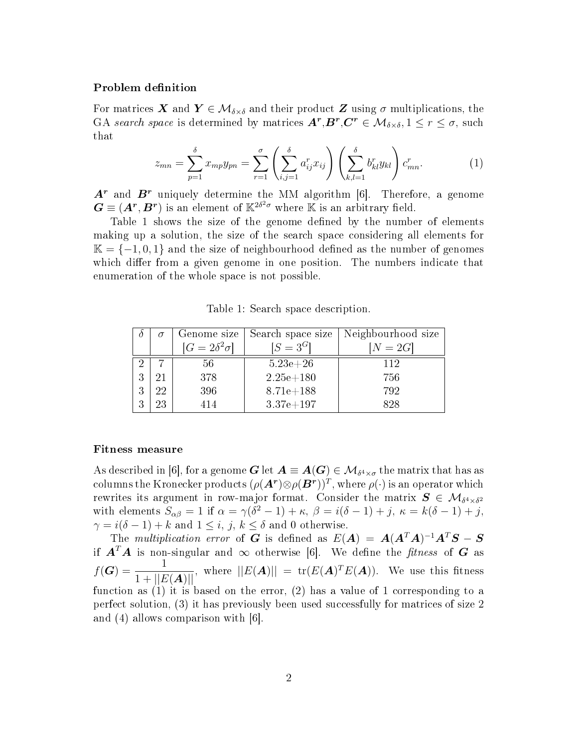### Problem definition

For matrices X and  $Y \in \mathcal{M}_{\delta \times \delta}$  and their product Z using  $\sigma$  multiplications, the GA search space is determined by matrices  $A^r, B^r, C^r \in \mathcal{M}_{\delta \times \delta}, 1 \leq r \leq \sigma$ , such that

$$
z_{mn} = \sum_{p=1}^{\delta} x_{mp} y_{pn} = \sum_{r=1}^{\sigma} \left( \sum_{i,j=1}^{\delta} a_{ij}^r x_{ij} \right) \left( \sum_{k,l=1}^{\delta} b_{kl}^r y_{kl} \right) c_{mn}^r.
$$
 (1)

 $A<sup>r</sup>$  and  $B<sup>r</sup>$  uniquely determine the MM algorithm [6]. Therefore, a genome  $\bm{G} \equiv (\bm{A^r}, \bm{B^r})$  is an element of  $\mathbb{K}^{2\delta^2 \sigma}$  where  $\mathbb K$  is an arbitrary field.

Table 1 shows the size of the genome defined by the number of elements making up a solution, the size of the search space considering all elements for  $\mathbb{K} = \{-1, 0, 1\}$  and the size of neighbourhood defined as the number of genomes which differ from a given genome in one position. The numbers indicate that enumeration of the whole space is not possible.

|   |    | Genome size              | Search space size | Neighbourhood size |
|---|----|--------------------------|-------------------|--------------------|
|   |    | $[G = 2\delta^2 \sigma]$ | $[S = 3^G]$       | $N=2G$             |
|   |    | 56                       | $5.23e + 26$      | 112                |
| 3 | 21 | 378                      | $2.25e + 180$     | 756                |
| 3 | 22 | 396                      | $8.71e+188$       | 792                |
| 3 | 23 | 414                      | $3.37e + 197$     | 828                |

Table 1: Search space description.

#### Fitness measure

As described in [6], for a genome  $\bm{G}$  let  $\bm{A}\equiv \bm{A}(\bm{G})\in \mathcal{M}_{\delta^4\times\sigma}$  the matrix that has as columns the Kronecker products  $(\rho(\bm{A^r})\otimes \rho(\bm{B^r}))^T$ , where  $\rho(\cdot)$  is an operator which rewrites its argument in row-major format. Consider the matrix  $\bm{S} \in \mathcal{M}_{\delta^4 \times \delta^2}$ with elements  $S_{\alpha\beta} = 1$  if  $\alpha = \gamma(\delta^2 - 1) + \kappa$ ,  $\beta = i(\delta - 1) + j$ ,  $\kappa = k(\delta - 1) + j$ ,  $\gamma = i(\delta - 1) + k$  and  $1 \leq i, j, k \leq \delta$  and 0 otherwise.

The *multiplication error* of  $G$  is defined as  $E(A) = A(A^T A)^{-1} A^T S - S$ if  $A^T A$  is non-singular and  $\infty$  otherwise [6]. We define the *fitness* of G as  $f(G) = \frac{1}{1+||E(A)||}$ , where  $||E(A)|| = \text{tr}(E(A)^T E(A))$ . We use this fitness function as (1) it is based on the error, (2) has a value of 1 corresponding to a perfect solution, (3) it has previously been used successfully for matrices of size 2 and (4) allows comparison with [6].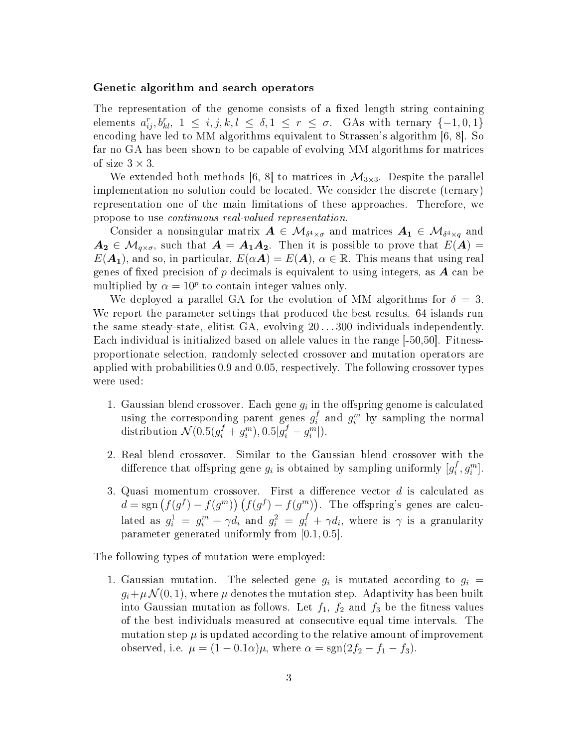#### Genetic algorithm and search operators

The representation of the genome consists of a fixed length string containing elements  $a_{ij}^r, b_{kl}^r, 1 \leq i, j, k, l \leq \delta, 1 \leq r \leq \sigma$ . GAs with ternary  $\{-1, 0, 1\}$ encoding have led to MM algorithms equivalent to Strassen's algorithm [6, 8]. So far no GA has been shown to be capable of evolving MM algorithms for matrices of size  $3 \times 3$ .

We extended both methods [6, 8] to matrices in  $\mathcal{M}_{3\times 3}$ . Despite the parallel implementation no solution could be located. We consider the discrete (ternary) representation one of the main limitations of these approaches. Therefore, we propose to use continuous real-valued representation.

Consider a nonsingular matrix  $\bm A\in\mathcal{M}_{\delta^4\times \sigma}$  and matrices  $\bm A_{\bm 1}\in\mathcal{M}_{\delta^4\times q}$  and  $A_2 \in \mathcal{M}_{q \times \sigma}$ , such that  $A = A_1 A_2$ . Then it is possible to prove that  $E(A) =$  $E(\mathbf{A_1})$ , and so, in particular,  $E(\alpha \mathbf{A}) = E(\mathbf{A})$ ,  $\alpha \in \mathbb{R}$ . This means that using real genes of fixed precision of  $p$  decimals is equivalent to using integers, as  $\boldsymbol{A}$  can be multiplied by  $\alpha = 10^p$  to contain integer values only.

We deployed a parallel GA for the evolution of MM algorithms for  $\delta = 3$ . We report the parameter settings that produced the best results. 64 islands run the same steady-state, elitist GA, evolving 20 . . . 300 individuals independently. Each individual is initialized based on allele values in the range [-50,50]. Fitnessproportionate selection, randomly selected crossover and mutation operators are applied with probabilities 0.9 and 0.05, respectively. The following crossover types were used:

- 1. Gaussian blend crossover. Each gene  $g_i$  in the offspring genome is calculated using the corresponding parent genes  $g_i^f$  $i<sup>f</sup>$  and  $g<sup>m</sup>$  by sampling the normal distribution  $\mathcal{N}(0.5(g_i^f + g_i^m), 0.5|g_i^f - g_i^m|).$
- 2. Real blend crossover. Similar to the Gaussian blend crossover with the difference that offspring gene  $g_i$  is obtained by sampling uniformly  $[g_i^f]$  $\binom{f}{i}, g_i^m$ .
- 3. Quasi momentum crossover. First a difference vector  $d$  is calculated as  $d = sgn (f(g^f) - f(g^m)) (f(g^f) - f(g^m))$ . The offspring's genes are calculated as  $g_i^1 = g_i^m + \gamma d_i$  and  $g_i^2 = g_i^f + \gamma d_i$ , where is  $\gamma$  is a granularity parameter generated uniformly from [0.1, 0.5].

The following types of mutation were employed:

1. Gaussian mutation. The selected gene  $g_i$  is mutated according to  $g_i =$  $g_i+\mu\mathcal{N}(0,1)$ , where  $\mu$  denotes the mutation step. Adaptivity has been built into Gaussian mutation as follows. Let  $f_1$ ,  $f_2$  and  $f_3$  be the fitness values of the best individuals measured at consecutive equal time intervals. The mutation step  $\mu$  is updated according to the relative amount of improvement observed, i.e.  $\mu = (1 - 0.1\alpha)\mu$ , where  $\alpha = \text{sgn}(2f_2 - f_1 - f_3)$ .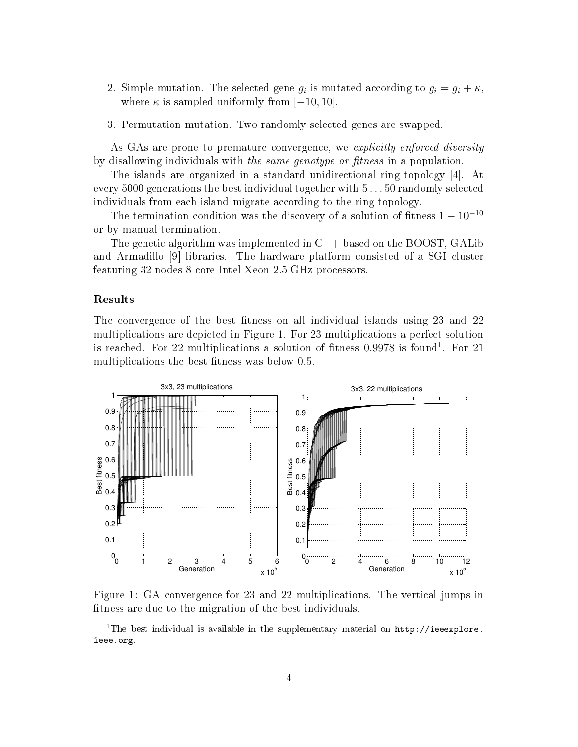- 2. Simple mutation. The selected gene  $g_i$  is mutated according to  $g_i = g_i + \kappa$ , where  $\kappa$  is sampled uniformly from [−10, 10].
- 3. Permutation mutation. Two randomly selected genes are swapped.

As GAs are prone to premature convergence, we explicitly enforced diversity by disallowing individuals with the same genotype or fitness in a population.

The islands are organized in a standard unidirectional ring topology [4]. At every 5000 generations the best individual together with 5 . . . 50 randomly selected individuals from each island migrate according to the ring topology.

The termination condition was the discovery of a solution of fitness  $1 - 10^{-10}$ or by manual termination.

The genetic algorithm was implemented in  $C++$  based on the BOOST, GALib and Armadillo [9] libraries. The hardware platform consisted of a SGI cluster featuring 32 nodes 8-core Intel Xeon 2.5 GHz processors.

#### Results

The convergence of the best fitness on all individual islands using 23 and 22 multiplications are depicted in Figure 1. For 23 multiplications a perfect solution is reached. For 22 multiplications a solution of fitness  $0.9978$  is found<sup>1</sup>. For 21 multiplications the best fitness was below 0.5.



Figure 1: GA convergence for 23 and 22 multiplications. The vertical jumps in fitness are due to the migration of the best individuals.

<sup>&</sup>lt;sup>1</sup>The best individual is available in the supplementary material on  $http://ieeexplore.$ ieee.org.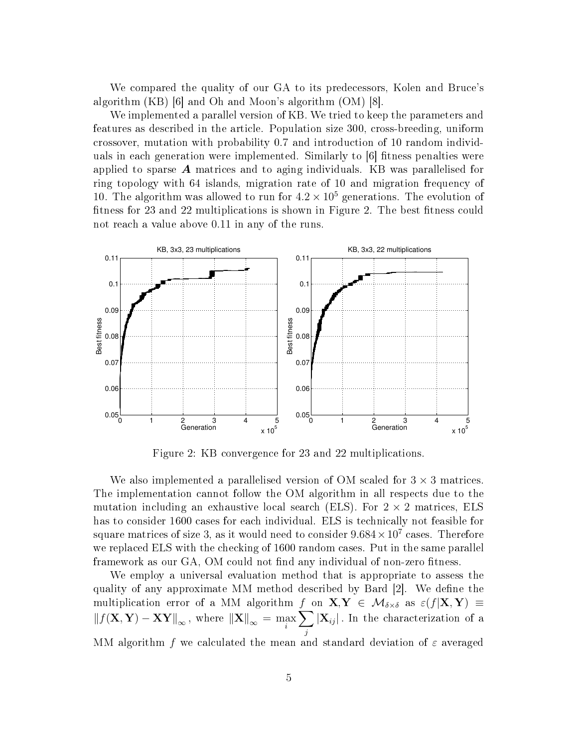We compared the quality of our GA to its predecessors, Kolen and Bruce's algorithm  $(KB)$  |6| and Oh and Moon's algorithm  $(OM)$  |8|.

We implemented a parallel version of KB. We tried to keep the parameters and features as described in the article. Population size 300, cross-breeding, uniform crossover, mutation with probability 0.7 and introduction of 10 random individuals in each generation were implemented. Similarly to [6] fitness penalties were applied to sparse  $\boldsymbol{A}$  matrices and to aging individuals. KB was parallelised for ring topology with 64 islands, migration rate of 10 and migration frequency of 10. The algorithm was allowed to run for  $4.2 \times 10^5$  generations. The evolution of fitness for 23 and 22 multiplications is shown in Figure 2. The best fitness could not reach a value above 0.11 in any of the runs.



Figure 2: KB convergence for 23 and 22 multiplications.

We also implemented a parallelised version of OM scaled for  $3 \times 3$  matrices. The implementation cannot follow the OM algorithm in all respects due to the mutation including an exhaustive local search (ELS). For  $2 \times 2$  matrices, ELS has to consider 1600 cases for each individual. ELS is technically not feasible for square matrices of size 3, as it would need to consider  $9.684 \times 10^7$  cases. Therefore we replaced ELS with the checking of 1600 random cases. Put in the same parallel framework as our GA, OM could not find any individual of non-zero fitness.

We employ a universal evaluation method that is appropriate to assess the quality of any approximate MM method described by Bard  $|2|$ . We define the multiplication error of a MM algorithm f on  $X,Y \in \mathcal{M}_{\delta \times \delta}$  as  $\varepsilon(f|X,Y) \equiv$  $\left\Vert f(\mathbf{X}, \mathbf{Y})-\mathbf{X}\mathbf{Y}\right\Vert_{\infty}, \text{ where } \left\Vert \mathbf{X}\right\Vert_{\infty} = \max\limits_{i}$  $\sum$ j  $|\mathbf{X}_{ij}|$ . In the characterization of a MM algorithm f we calculated the mean and standard deviation of  $\varepsilon$  averaged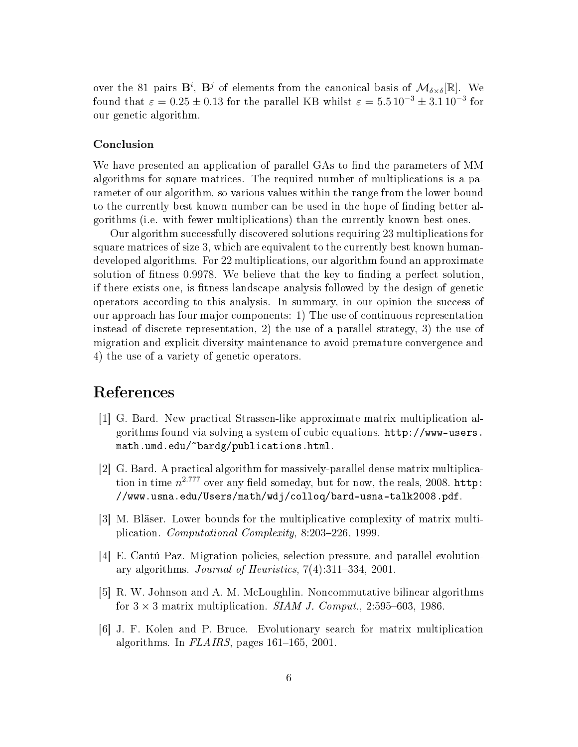over the 81 pairs  $\mathbf{B}^i$ ,  $\mathbf{B}^j$  of elements from the canonical basis of  $\mathcal{M}_{\delta\times\delta}[\mathbb{R}]$ . We found that  $\varepsilon = 0.25 \pm 0.13$  for the parallel KB whilst  $\varepsilon = 5.5 \, 10^{-3} \pm 3.1 \, 10^{-3}$  for our genetic algorithm.

#### Conclusion

We have presented an application of parallel GAs to find the parameters of MM algorithms for square matrices. The required number of multiplications is a parameter of our algorithm, so various values within the range from the lower bound to the currently best known number can be used in the hope of nding better algorithms (i.e. with fewer multiplications) than the currently known best ones.

Our algorithm successfully discovered solutions requiring 23 multiplications for square matrices of size 3, which are equivalent to the currently best known humandeveloped algorithms. For 22 multiplications, our algorithm found an approximate solution of fitness 0.9978. We believe that the key to finding a perfect solution, if there exists one, is tness landscape analysis followed by the design of genetic operators according to this analysis. In summary, in our opinion the success of our approach has four major components: 1) The use of continuous representation instead of discrete representation, 2) the use of a parallel strategy, 3) the use of migration and explicit diversity maintenance to avoid premature convergence and 4) the use of a variety of genetic operators.

## References

- [1] G. Bard. New practical Strassen-like approximate matrix multiplication algorithms found via solving a system of cubic equations. http://www-users. math.umd.edu/~bardg/publications.html.
- [2] G. Bard. A practical algorithm for massively-parallel dense matrix multiplication in time  $n^{2.777}$  over any field someday, but for now, the reals, 2008. http: //www.usna.edu/Users/math/wdj/colloq/bard-usna-talk2008.pdf.
- [3] M. Bläser. Lower bounds for the multiplicative complexity of matrix multiplication. Computational Complexity,  $8:203-226$ , 1999.
- [4] E. Cantú-Paz. Migration policies, selection pressure, and parallel evolutionary algorithms. Journal of Heuristics,  $7(4)$ :311-334, 2001.
- [5] R. W. Johnson and A. M. McLoughlin. Noncommutative bilinear algorithms for  $3 \times 3$  matrix multiplication. SIAM J. Comput., 2:595–603, 1986.
- [6] J. F. Kolen and P. Bruce. Evolutionary search for matrix multiplication algorithms. In  $FLAIRS$ , pages 161-165, 2001.